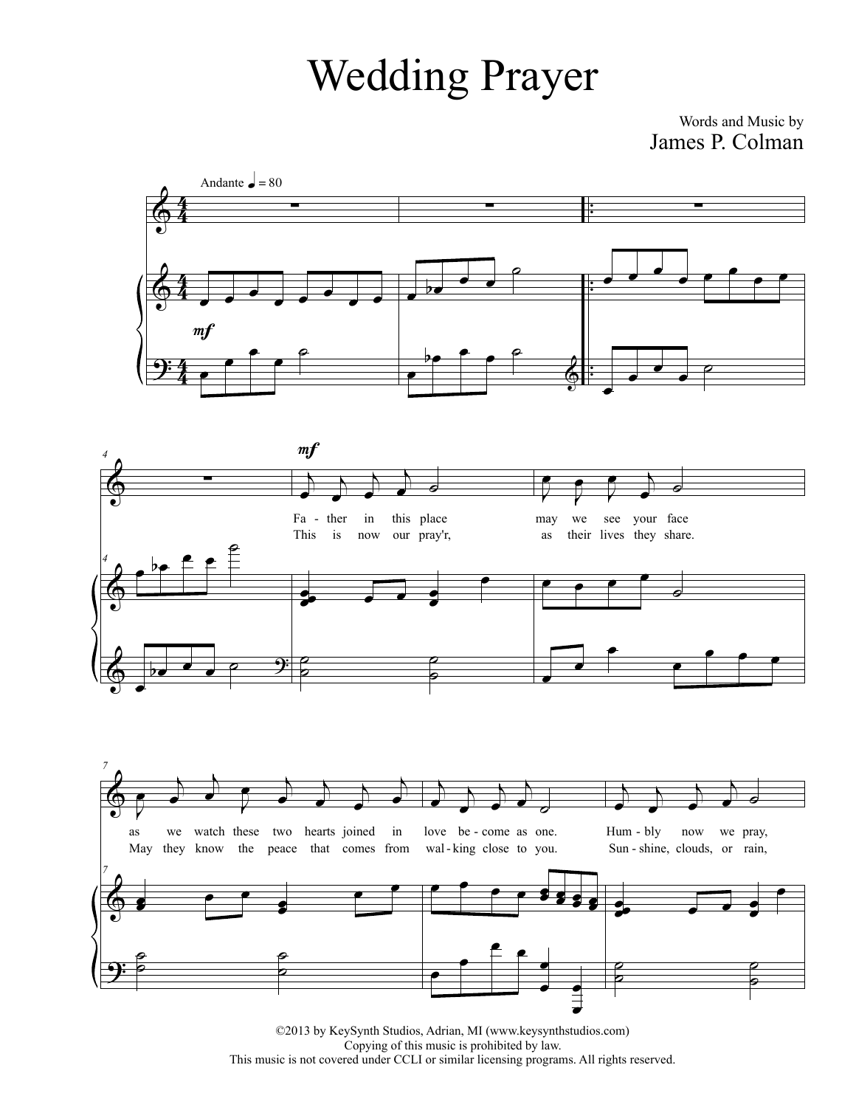## Wedding Prayer

## Words and Music by James P. Colman



*4*

*4*

*7*



©2013 by KeySynth Studios, Adrian, MI (www.keysynthstudios.com) Copying of this music is prohibited by law. This music is not covered under CCLI or similar licensing programs. All rights reserved.